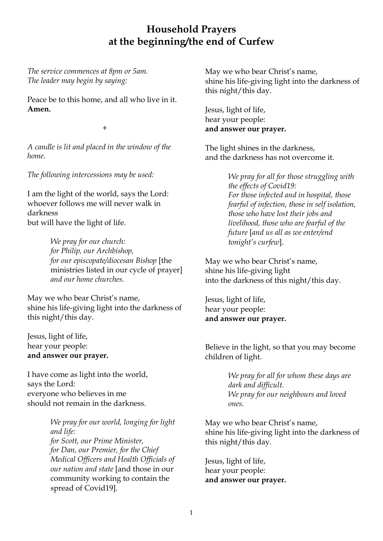## **Household Prayers at the beginning/the end of Curfew**

*The service commences at 8pm or 5am. The leader may begin by saying:*

Peace be to this home, and all who live in it. **Amen.**

+

*A candle is lit and placed in the window of the home.* 

*The following intercessions may be used:*

I am the light of the world, says the Lord: whoever follows me will never walk in darkness but will have the light of life.

> *We pray for our church: for Philip, our Archbishop, for our episcopate/diocesan Bishop* [the ministries listed in our cycle of prayer] *and our home churches.*

May we who bear Christ's name, shine his life-giving light into the darkness of this night/this day.

Jesus, light of life, hear your people: **and answer our prayer.**

I have come as light into the world, says the Lord: everyone who believes in me should not remain in the darkness.

> *We pray for our world, longing for light and life: for Scott, our Prime Minister, for Dan, our Premier, for the Chief Medical Officers and Health Officials of our nation and state* [and those in our community working to contain the spread of Covid19].

May we who bear Christ's name, shine his life-giving light into the darkness of this night/this day.

Jesus, light of life, hear your people: **and answer our prayer.**

The light shines in the darkness, and the darkness has not overcome it.

> *We pray for all for those struggling with the effects of Covid19: For those infected and in hospital, those fearful of infection, those in self isolation, those who have lost their jobs and livelihood, those who are fearful of the future* [*and us all as we enter/end tonight's curfew*].

May we who bear Christ's name, shine his life-giving light into the darkness of this night/this day.

Jesus, light of life, hear your people: **and answer our prayer.**

Believe in the light, so that you may become children of light.

> *We pray for all for whom these days are dark and difficult. We pray for our neighbours and loved ones.*

May we who bear Christ's name, shine his life-giving light into the darkness of this night/this day.

Jesus, light of life, hear your people: **and answer our prayer.**